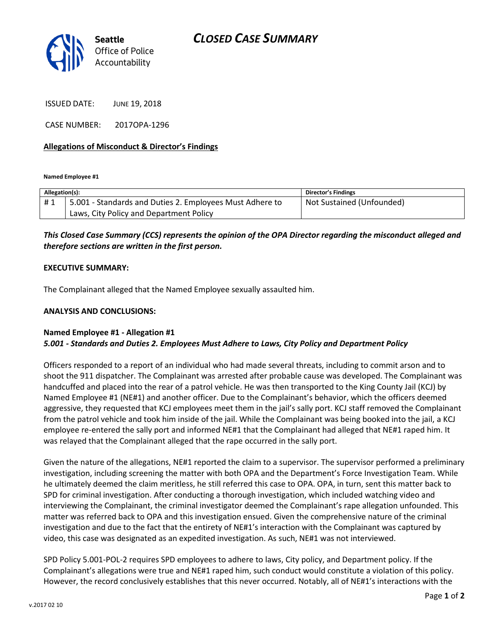

ISSUED DATE: JUNE 19, 2018

CASE NUMBER: 2017OPA-1296

#### **Allegations of Misconduct & Director's Findings**

**Named Employee #1**

| Allegation(s): |                                                          | Director's Findings       |
|----------------|----------------------------------------------------------|---------------------------|
| #1             | 5.001 - Standards and Duties 2. Employees Must Adhere to | Not Sustained (Unfounded) |
|                | Laws, City Policy and Department Policy                  |                           |

## *This Closed Case Summary (CCS) represents the opinion of the OPA Director regarding the misconduct alleged and therefore sections are written in the first person.*

#### **EXECUTIVE SUMMARY:**

The Complainant alleged that the Named Employee sexually assaulted him.

#### **ANALYSIS AND CONCLUSIONS:**

### **Named Employee #1 - Allegation #1**  *5.001 - Standards and Duties 2. Employees Must Adhere to Laws, City Policy and Department Policy*

Officers responded to a report of an individual who had made several threats, including to commit arson and to shoot the 911 dispatcher. The Complainant was arrested after probable cause was developed. The Complainant was handcuffed and placed into the rear of a patrol vehicle. He was then transported to the King County Jail (KCJ) by Named Employee #1 (NE#1) and another officer. Due to the Complainant's behavior, which the officers deemed aggressive, they requested that KCJ employees meet them in the jail's sally port. KCJ staff removed the Complainant from the patrol vehicle and took him inside of the jail. While the Complainant was being booked into the jail, a KCJ employee re-entered the sally port and informed NE#1 that the Complainant had alleged that NE#1 raped him. It was relayed that the Complainant alleged that the rape occurred in the sally port.

Given the nature of the allegations, NE#1 reported the claim to a supervisor. The supervisor performed a preliminary investigation, including screening the matter with both OPA and the Department's Force Investigation Team. While he ultimately deemed the claim meritless, he still referred this case to OPA. OPA, in turn, sent this matter back to SPD for criminal investigation. After conducting a thorough investigation, which included watching video and interviewing the Complainant, the criminal investigator deemed the Complainant's rape allegation unfounded. This matter was referred back to OPA and this investigation ensued. Given the comprehensive nature of the criminal investigation and due to the fact that the entirety of NE#1's interaction with the Complainant was captured by video, this case was designated as an expedited investigation. As such, NE#1 was not interviewed.

SPD Policy 5.001-POL-2 requires SPD employees to adhere to laws, City policy, and Department policy. If the Complainant's allegations were true and NE#1 raped him, such conduct would constitute a violation of this policy. However, the record conclusively establishes that this never occurred. Notably, all of NE#1's interactions with the